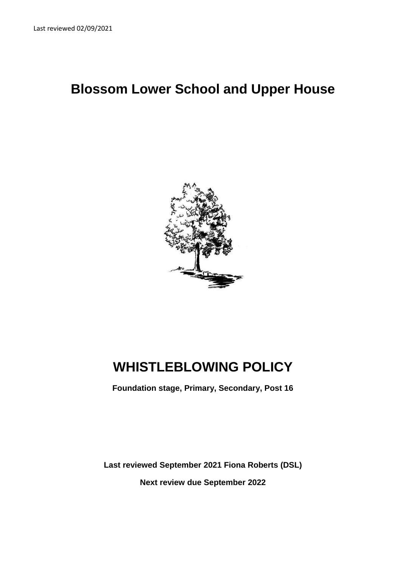# **Blossom Lower School and Upper House**



# **WHISTLEBLOWING POLICY**

**Foundation stage, Primary, Secondary, Post 16**

**Last reviewed September 2021 Fiona Roberts (DSL) Next review due September 2022**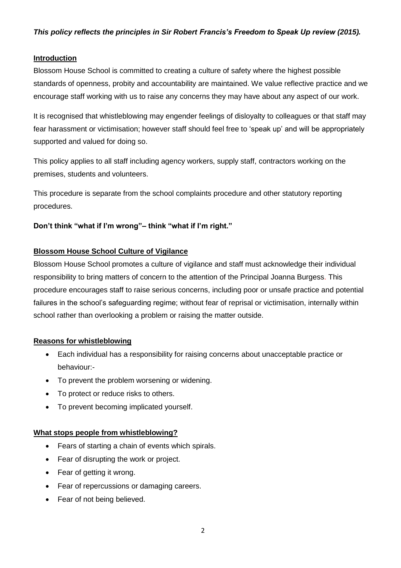#### **Introduction**

Blossom House School is committed to creating a culture of safety where the highest possible standards of openness, probity and accountability are maintained. We value reflective practice and we encourage staff working with us to raise any concerns they may have about any aspect of our work.

It is recognised that whistleblowing may engender feelings of disloyalty to colleagues or that staff may fear harassment or victimisation; however staff should feel free to 'speak up' and will be appropriately supported and valued for doing so.

This policy applies to all staff including agency workers, supply staff, contractors working on the premises, students and volunteers.

This procedure is separate from the school complaints procedure and other statutory reporting procedures.

#### **Don't think "what if I'm wrong"– think "what if I'm right."**

#### **Blossom House School Culture of Vigilance**

Blossom House School promotes a culture of vigilance and staff must acknowledge their individual responsibility to bring matters of concern to the attention of the Principal Joanna Burgess. This procedure encourages staff to raise serious concerns, including poor or unsafe practice and potential failures in the school's safeguarding regime; without fear of reprisal or victimisation, internally within school rather than overlooking a problem or raising the matter outside.

#### **Reasons for whistleblowing**

- Each individual has a responsibility for raising concerns about unacceptable practice or behaviour:-
- To prevent the problem worsening or widening.
- To protect or reduce risks to others.
- To prevent becoming implicated yourself.

#### **What stops people from whistleblowing?**

- Fears of starting a chain of events which spirals.
- Fear of disrupting the work or project.
- Fear of getting it wrong.
- Fear of repercussions or damaging careers.
- Fear of not being believed.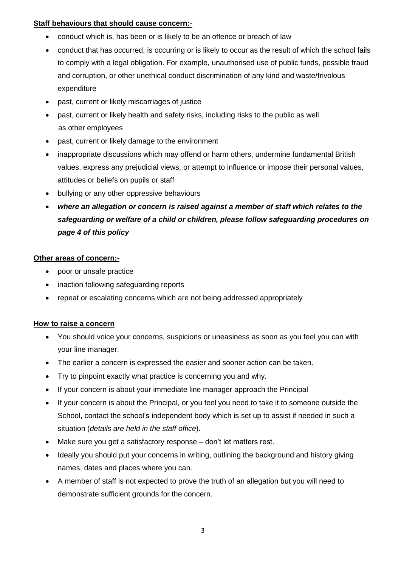#### **Staff behaviours that should cause concern:-**

- conduct which is, has been or is likely to be an offence or breach of law
- conduct that has occurred, is occurring or is likely to occur as the result of which the school fails to comply with a legal obligation. For example, unauthorised use of public funds, possible fraud and corruption, or other unethical conduct discrimination of any kind and waste/frivolous expenditure
- past, current or likely miscarriages of justice
- past, current or likely health and safety risks, including risks to the public as well as other employees
- past, current or likely damage to the environment
- inappropriate discussions which may offend or harm others, undermine fundamental British values, express any prejudicial views, or attempt to influence or impose their personal values, attitudes or beliefs on pupils or staff
- bullying or any other oppressive behaviours
- *where an allegation or concern is raised against a member of staff which relates to the safeguarding or welfare of a child or children, please follow safeguarding procedures on page 4 of this policy*

#### **Other areas of concern:-**

- poor or unsafe practice
- inaction following safeguarding reports
- repeat or escalating concerns which are not being addressed appropriately

#### **How to raise a concern**

- You should voice your concerns, suspicions or uneasiness as soon as you feel you can with your line manager.
- The earlier a concern is expressed the easier and sooner action can be taken.
- Try to pinpoint exactly what practice is concerning you and why.
- If your concern is about your immediate line manager approach the Principal
- If your concern is about the Principal, or you feel you need to take it to someone outside the School, contact the school's independent body which is set up to assist if needed in such a situation (*details are held in the staff office*).
- Make sure you get a satisfactory response don't let matters rest.
- Ideally you should put your concerns in writing, outlining the background and history giving names, dates and places where you can.
- A member of staff is not expected to prove the truth of an allegation but you will need to demonstrate sufficient grounds for the concern.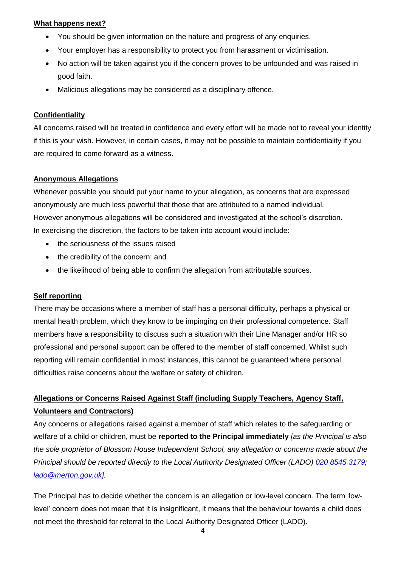#### **What happens next?**

- You should be given information on the nature and progress of any enquiries.
- Your employer has a responsibility to protect you from harassment or victimisation.
- No action will be taken against you if the concern proves to be unfounded and was raised in good faith.
- Malicious allegations may be considered as a disciplinary offence.

#### **Confidentiality**

All concerns raised will be treated in confidence and every effort will be made not to reveal your identity if this is your wish. However, in certain cases, it may not be possible to maintain confidentiality if you are required to come forward as a witness.

#### **Anonymous Allegations**

Whenever possible you should put your name to your allegation, as concerns that are expressed anonymously are much less powerful that those that are attributed to a named individual. However anonymous allegations will be considered and investigated at the school's discretion. In exercising the discretion, the factors to be taken into account would include:

- the seriousness of the issues raised
- the credibility of the concern; and
- the likelihood of being able to confirm the allegation from attributable sources.

#### **Self reporting**

There may be occasions where a member of staff has a personal difficulty, perhaps a physical or mental health problem, which they know to be impinging on their professional competence. Staff members have a responsibility to discuss such a situation with their Line Manager and/or HR so professional and personal support can be offered to the member of staff concerned. Whilst such reporting will remain confidential in most instances, this cannot be guaranteed where personal difficulties raise concerns about the welfare or safety of children.

## **Allegations or Concerns Raised Against Staff (including Supply Teachers, Agency Staff, Volunteers and Contractors)**

Any concerns or allegations raised against a member of staff which relates to the safeguarding or welfare of a child or children, must be **reported to the Principal immediately** *[as the Principal is also the sole proprietor of Blossom House Independent School, any allegation or concerns made about the Principal should be reported directly to the Local Authority Designated Officer (LADO) 020 8545 3179; [lado@merton.gov.uk\]](mailto:lado@merton.gov.uk).* 

The Principal has to decide whether the concern is an allegation or low-level concern. The term 'lowlevel' concern does not mean that it is insignificant, it means that the behaviour towards a child does not meet the threshold for referral to the Local Authority Designated Officer (LADO).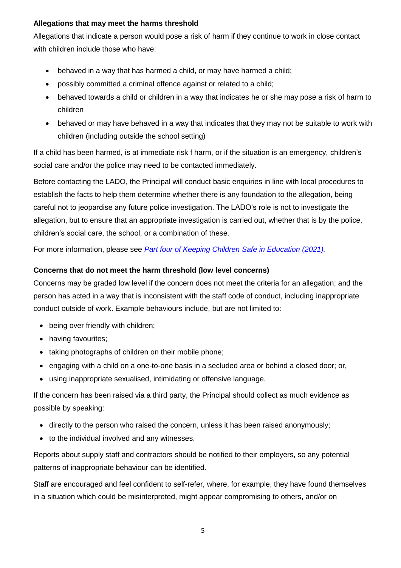#### **Allegations that may meet the harms threshold**

Allegations that indicate a person would pose a risk of harm if they continue to work in close contact with children include those who have:

- behaved in a way that has harmed a child, or may have harmed a child;
- possibly committed a criminal offence against or related to a child;
- behaved towards a child or children in a way that indicates he or she may pose a risk of harm to children
- behaved or may have behaved in a way that indicates that they may not be suitable to work with children (including outside the school setting)

If a child has been harmed, is at immediate risk f harm, or if the situation is an emergency, children's social care and/or the police may need to be contacted immediately.

Before contacting the LADO, the Principal will conduct basic enquiries in line with local procedures to establish the facts to help them determine whether there is any foundation to the allegation, being careful not to jeopardise any future police investigation. The LADO's role is not to investigate the allegation, but to ensure that an appropriate investigation is carried out, whether that is by the police, children's social care, the school, or a combination of these.

For more information, please see *[Part four of Keeping Children Safe in Education](https://assets.publishing.service.gov.uk/government/uploads/system/uploads/attachment_data/file/1007260/Keeping_children_safe_in_education_2021.pdf) (2021).*

#### **Concerns that do not meet the harm threshold (low level concerns)**

Concerns may be graded low level if the concern does not meet the criteria for an allegation; and the person has acted in a way that is inconsistent with the staff code of conduct, including inappropriate conduct outside of work. Example behaviours include, but are not limited to:

- being over friendly with children;
- having favourites;
- taking photographs of children on their mobile phone:
- engaging with a child on a one-to-one basis in a secluded area or behind a closed door; or,
- using inappropriate sexualised, intimidating or offensive language.

If the concern has been raised via a third party, the Principal should collect as much evidence as possible by speaking:

- directly to the person who raised the concern, unless it has been raised anonymously;
- to the individual involved and any witnesses.

Reports about supply staff and contractors should be notified to their employers, so any potential patterns of inappropriate behaviour can be identified.

Staff are encouraged and feel confident to self-refer, where, for example, they have found themselves in a situation which could be misinterpreted, might appear compromising to others, and/or on